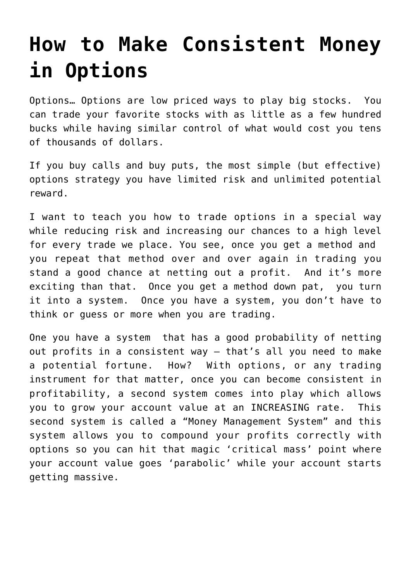## **[How to Make Consistent Money](https://optionsweeklypaychecks.com/consistent-money-options/) [in Options](https://optionsweeklypaychecks.com/consistent-money-options/)**

Options… Options are low priced ways to play big stocks. You can trade your favorite stocks with as little as a few hundred bucks while having similar control of what would cost you tens of thousands of dollars.

If you buy calls and buy puts, the most simple (but effective) options strategy you have limited risk and unlimited potential reward.

I want to teach you how to trade options in a special way while reducing risk and increasing our chances to a high level for every trade we place. You see, once you get a method and you repeat that method over and over again in trading you stand a good chance at netting out a profit. And it's more exciting than that. Once you get a method down pat, you turn it into a system. Once you have a system, you don't have to think or guess or more when you are trading.

One you have a system that has a good probability of netting out profits in a consistent way – that's all you need to make a potential fortune. How? With options, or any trading instrument for that matter, once you can become consistent in profitability, a second system comes into play which allows you to grow your account value at an INCREASING rate. This second system is called a "Money Management System" and this system allows you to compound your profits correctly with options so you can hit that magic 'critical mass' point where your account value goes 'parabolic' while your account starts getting massive.